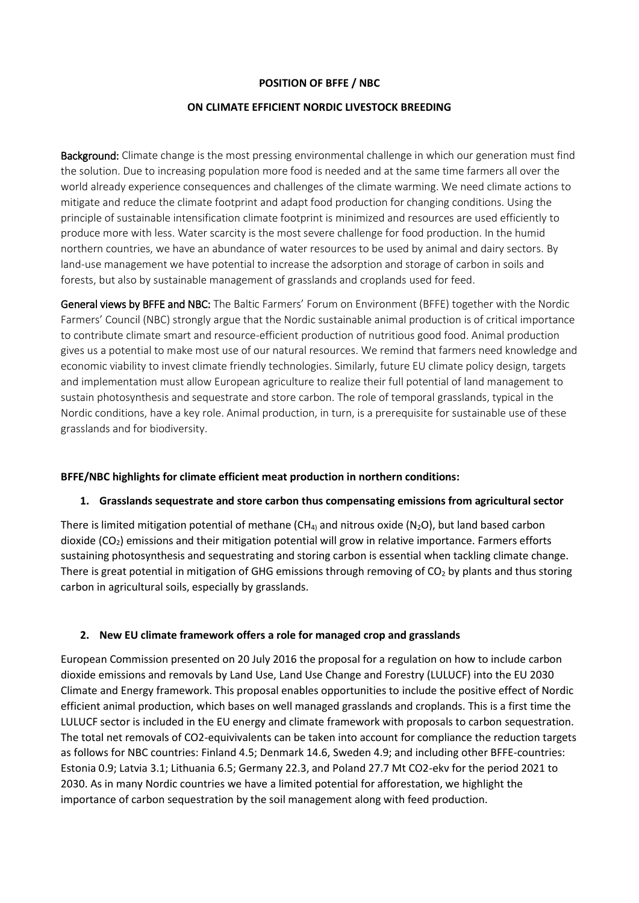## **POSITION OF BFFE / NBC**

#### **ON CLIMATE EFFICIENT NORDIC LIVESTOCK BREEDING**

Background: Climate change is the most pressing environmental challenge in which our generation must find the solution. Due to increasing population more food is needed and at the same time farmers all over the world already experience consequences and challenges of the climate warming. We need climate actions to mitigate and reduce the climate footprint and adapt food production for changing conditions. Using the principle of sustainable intensification climate footprint is minimized and resources are used efficiently to produce more with less. Water scarcity is the most severe challenge for food production. In the humid northern countries, we have an abundance of water resources to be used by animal and dairy sectors. By land-use management we have potential to increase the adsorption and storage of carbon in soils and forests, but also by sustainable management of grasslands and croplands used for feed.

General views by BFFE and NBC: The Baltic Farmers' Forum on Environment (BFFE) together with the Nordic Farmers' Council (NBC) strongly argue that the Nordic sustainable animal production is of critical importance to contribute climate smart and resource-efficient production of nutritious good food. Animal production gives us a potential to make most use of our natural resources. We remind that farmers need knowledge and economic viability to invest climate friendly technologies. Similarly, future EU climate policy design, targets and implementation must allow European agriculture to realize their full potential of land management to sustain photosynthesis and sequestrate and store carbon. The role of temporal grasslands, typical in the Nordic conditions, have a key role. Animal production, in turn, is a prerequisite for sustainable use of these grasslands and for biodiversity.

### **BFFE/NBC highlights for climate efficient meat production in northern conditions:**

#### **1. Grasslands sequestrate and store carbon thus compensating emissions from agricultural sector**

There is limited mitigation potential of methane ( $CH<sub>4</sub>$ ) and nitrous oxide (N<sub>2</sub>O), but land based carbon dioxide (CO<sub>2</sub>) emissions and their mitigation potential will grow in relative importance. Farmers efforts sustaining photosynthesis and sequestrating and storing carbon is essential when tackling climate change. There is great potential in mitigation of GHG emissions through removing of  $CO<sub>2</sub>$  by plants and thus storing carbon in agricultural soils, especially by grasslands.

### **2. New EU climate framework offers a role for managed crop and grasslands**

European Commission presented on 20 July 2016 the proposal for a regulation on how to include carbon dioxide emissions and removals by Land Use, Land Use Change and Forestry (LULUCF) into the EU 2030 Climate and Energy framework. This proposal enables opportunities to include the positive effect of Nordic efficient animal production, which bases on well managed grasslands and croplands. This is a first time the LULUCF sector is included in the EU energy and climate framework with proposals to carbon sequestration. The total net removals of CO2-equivivalents can be taken into account for compliance the reduction targets as follows for NBC countries: Finland 4.5; Denmark 14.6, Sweden 4.9; and including other BFFE-countries: Estonia 0.9; Latvia 3.1; Lithuania 6.5; Germany 22.3, and Poland 27.7 Mt CO2-ekv for the period 2021 to 2030. As in many Nordic countries we have a limited potential for afforestation, we highlight the importance of carbon sequestration by the soil management along with feed production.